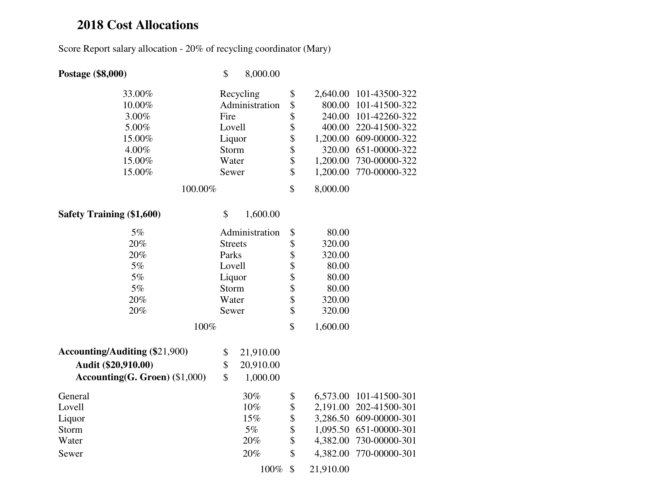## **2018 Cost Allocations**

Score Report salary allocation - 20% of recycling coordinator (Mary)

| Postage (\$8,000)                     | \$             | 8,000.00       |          |           |                        |  |  |  |
|---------------------------------------|----------------|----------------|----------|-----------|------------------------|--|--|--|
| 33.00%                                |                | Recycling      | \$       | 2,640.00  | 101-43500-322          |  |  |  |
| 10.00%                                |                | Administration | \$       | 800.00    | 101-41500-322          |  |  |  |
| 3.00%                                 | Fire           |                | \$       | 240.00    | 101-42260-322          |  |  |  |
| 5.00%                                 | Lovell         |                | \$       | 400.00    | 220-41500-322          |  |  |  |
| 15.00%                                | Liquor         |                | \$       | 1,200.00  | 609-00000-322          |  |  |  |
| 4.00%                                 | Storm          |                | \$       | 320.00    | 651-00000-322          |  |  |  |
| 15.00%                                | Water          |                | \$       | 1,200.00  | 730-00000-322          |  |  |  |
| 15.00%                                | Sewer          |                | \$       | 1,200.00  | 770-00000-322          |  |  |  |
| 100.00%                               |                |                | \$       | 8,000.00  |                        |  |  |  |
| <b>Safety Training (\$1,600)</b>      | \$             | 1,600.00       |          |           |                        |  |  |  |
| 5%                                    |                | Administration | \$       | 80.00     |                        |  |  |  |
| 20%                                   | <b>Streets</b> |                | \$       | 320.00    |                        |  |  |  |
| 20%                                   | Parks          |                | \$       | 320.00    |                        |  |  |  |
| 5%                                    | Lovell         |                | \$       | 80.00     |                        |  |  |  |
| 5%                                    | Liquor         |                | \$<br>\$ | 80.00     |                        |  |  |  |
| 5%                                    |                | Storm          |          | 80.00     |                        |  |  |  |
| 20%                                   | Water          |                | \$       | 320.00    |                        |  |  |  |
| 20%                                   | Sewer          |                | \$       | 320.00    |                        |  |  |  |
| 100%                                  |                |                | \$       | 1,600.00  |                        |  |  |  |
| <b>Accounting/Auditing (\$21,900)</b> | \$             | 21,910.00      |          |           |                        |  |  |  |
| Audit (\$20,910.00)                   | \$             | 20,910.00      |          |           |                        |  |  |  |
| Accounting(G. Groen) (\$1,000)        | \$             | 1,000.00       |          |           |                        |  |  |  |
| General                               |                | 30%            | \$       |           | 6,573.00 101-41500-301 |  |  |  |
| Lovell                                |                | 10%            | \$       |           | 2,191.00 202-41500-301 |  |  |  |
| Liquor                                |                | 15%            | \$       | 3,286.50  | 609-00000-301          |  |  |  |
| Storm                                 |                | $5\%$          | \$       | 1,095.50  | 651-00000-301          |  |  |  |
| Water                                 |                | 20%            | \$       | 4,382.00  | 730-00000-301          |  |  |  |
| Sewer                                 |                | 20%            | \$       | 4,382.00  | 770-00000-301          |  |  |  |
|                                       |                | 100%           | \$       | 21,910.00 |                        |  |  |  |